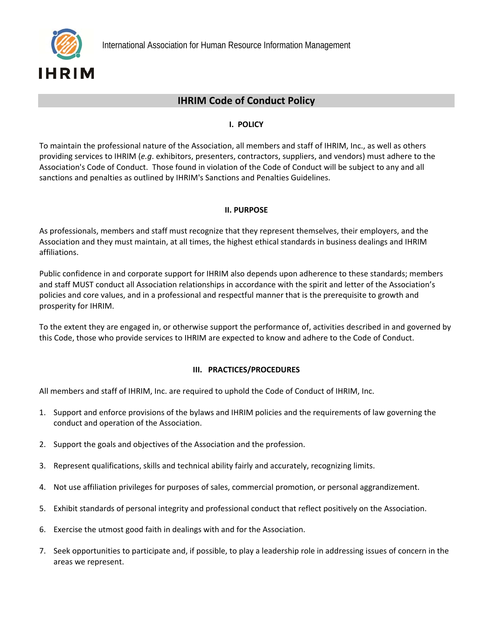

## **IHRIM Code of Conduct Policy**

## **I. POLICY**

To maintain the professional nature of the Association, all members and staff of IHRIM, Inc., as well as others providing services to IHRIM (*e.g*. exhibitors, presenters, contractors, suppliers, and vendors) must adhere to the Association's Code of Conduct. Those found in violation of the Code of Conduct will be subject to any and all sanctions and penalties as outlined by IHRIM's Sanctions and Penalties Guidelines.

## **II. PURPOSE**

As professionals, members and staff must recognize that they represent themselves, their employers, and the Association and they must maintain, at all times, the highest ethical standards in business dealings and IHRIM affiliations.

Public confidence in and corporate support for IHRIM also depends upon adherence to these standards; members and staff MUST conduct all Association relationships in accordance with the spirit and letter of the Association's policies and core values, and in a professional and respectful manner that is the prerequisite to growth and prosperity for IHRIM.

To the extent they are engaged in, or otherwise support the performance of, activities described in and governed by this Code, those who provide services to IHRIM are expected to know and adhere to the Code of Conduct.

## **III. PRACTICES/PROCEDURES**

All members and staff of IHRIM, Inc. are required to uphold the Code of Conduct of IHRIM, Inc.

- 1. Support and enforce provisions of the bylaws and IHRIM policies and the requirements of law governing the conduct and operation of the Association.
- 2. Support the goals and objectives of the Association and the profession.
- 3. Represent qualifications, skills and technical ability fairly and accurately, recognizing limits.
- 4. Not use affiliation privileges for purposes of sales, commercial promotion, or personal aggrandizement.
- 5. Exhibit standards of personal integrity and professional conduct that reflect positively on the Association.
- 6. Exercise the utmost good faith in dealings with and for the Association.
- 7. Seek opportunities to participate and, if possible, to play a leadership role in addressing issues of concern in the areas we represent.